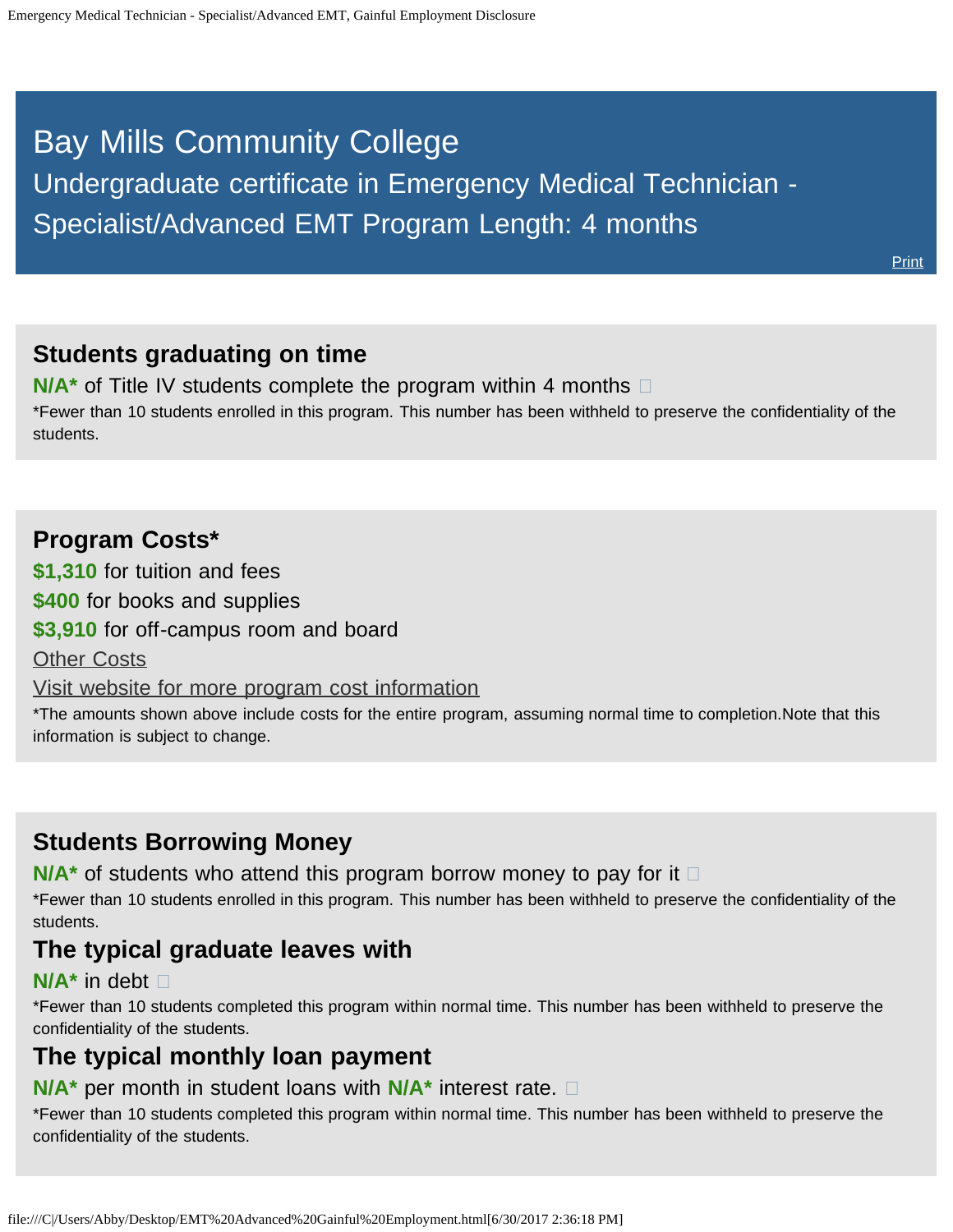# <span id="page-0-0"></span>Bay Mills Community College Undergraduate certificate in Emergency Medical Technician - Specialist/Advanced EMT Program Length: 4 months

**[Print](file:///C|/Users/Abby/Desktop/51.0810-GedtPrint.html)** 

# **Students graduating on time**

**N/A<sup>\*</sup>** of Title IV students complete the program within 4 months  $\Box$ \*Fewer than 10 students enrolled in this program. This number has been withheld to preserve the confidentiality of the students.

# **Program Costs\***

**\$1,310** for tuition and fees

**\$400** for books and supplies

**\$3,910** for off-campus room and board

[Other Costs](#page-0-0)

[Visit website for more program cost information](http://bmcc.edu/admissions/financial-aid/understanding-tuition)

\*The amounts shown above include costs for the entire program, assuming normal time to completion.Note that this information is subject to change.

# **Students Borrowing Money**

**N/A<sup>★</sup>** of students who attend this program borrow money to pay for it □

\*Fewer than 10 students enrolled in this program. This number has been withheld to preserve the confidentiality of the students.

## **The typical graduate leaves with**

#### **N/A\*** in debt

\*Fewer than 10 students completed this program within normal time. This number has been withheld to preserve the confidentiality of the students.

# **The typical monthly loan payment**

#### **N/A\*** per month in student loans with **N/A\*** interest rate.

\*Fewer than 10 students completed this program within normal time. This number has been withheld to preserve the confidentiality of the students.